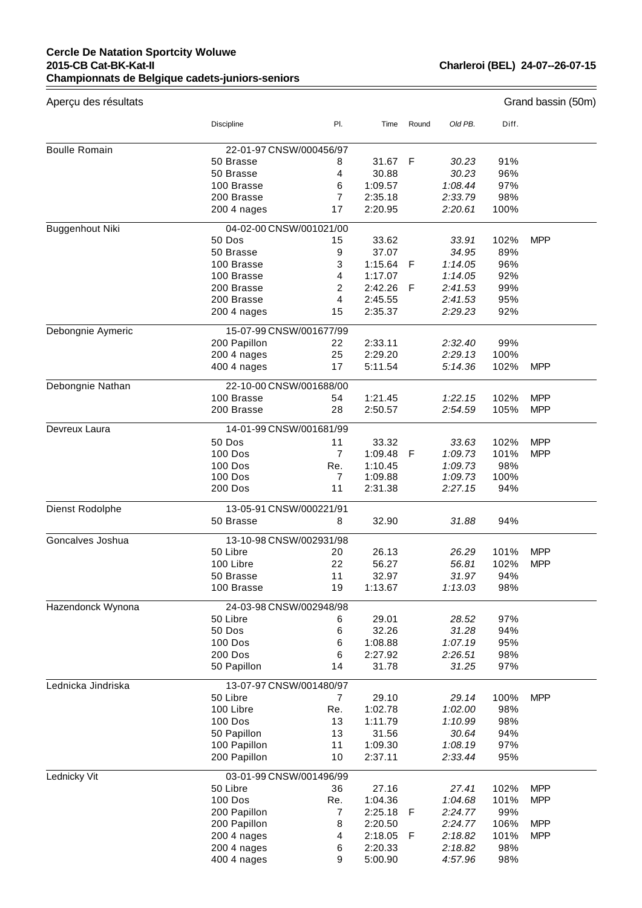## **Cercle De Natation Sportcity Woluwe 2015-CB Cat-BK-Kat-II Championnats de Belgique cadets-juniors-seniors**

| Aperçu des résultats |                           |                      |                    |       |                    |             | Grand bassin (50m) |
|----------------------|---------------------------|----------------------|--------------------|-------|--------------------|-------------|--------------------|
|                      | Discipline                | PI.                  | Time               | Round | Old PB.            | Diff.       |                    |
|                      |                           |                      |                    |       |                    |             |                    |
| <b>Boulle Romain</b> | 22-01-97 CNSW/000456/97   |                      |                    |       |                    |             |                    |
|                      | 50 Brasse                 | 8                    | 31.67              | F     | 30.23              | 91%         |                    |
|                      | 50 Brasse                 | 4                    | 30.88              |       | 30.23              | 96%         |                    |
|                      | 100 Brasse                | 6                    | 1:09.57            |       | 1:08.44            | 97%         |                    |
|                      | 200 Brasse<br>200 4 nages | $\overline{7}$<br>17 | 2:35.18<br>2:20.95 |       | 2:33.79<br>2:20.61 | 98%<br>100% |                    |
| Buggenhout Niki      | 04-02-00 CNSW/001021/00   |                      |                    |       |                    |             |                    |
|                      | 50 Dos                    | 15                   | 33.62              |       | 33.91              | 102%        | <b>MPP</b>         |
|                      | 50 Brasse                 | 9                    | 37.07              |       | 34.95              | 89%         |                    |
|                      | 100 Brasse                | 3                    | 1:15.64            | F     | 1:14.05            | 96%         |                    |
|                      | 100 Brasse                | $\overline{4}$       | 1:17.07            |       | 1:14.05            | 92%         |                    |
|                      | 200 Brasse                | $\overline{2}$       | 2:42.26            | F     | 2:41.53            | 99%         |                    |
|                      | 200 Brasse                | 4                    | 2:45.55            |       | 2:41.53            | 95%         |                    |
|                      | 200 4 nages               | 15                   | 2:35.37            |       | 2:29.23            | 92%         |                    |
| Debongnie Aymeric    | 15-07-99 CNSW/001677/99   |                      |                    |       |                    |             |                    |
|                      | 200 Papillon              | 22                   | 2:33.11            |       | 2:32.40            | 99%         |                    |
|                      | 200 4 nages               | 25                   | 2:29.20            |       | 2:29.13            | 100%        |                    |
|                      | 400 4 nages               | 17                   | 5:11.54            |       | 5:14.36            | 102%        | <b>MPP</b>         |
| Debongnie Nathan     | 22-10-00 CNSW/001688/00   |                      |                    |       |                    |             |                    |
|                      | 100 Brasse                | 54                   | 1:21.45            |       | 1:22.15            | 102%        | <b>MPP</b>         |
|                      | 200 Brasse                | 28                   | 2:50.57            |       | 2:54.59            | 105%        | <b>MPP</b>         |
| Devreux Laura        | 14-01-99 CNSW/001681/99   |                      |                    |       |                    |             |                    |
|                      | 50 Dos                    | 11                   | 33.32              |       | 33.63              | 102%        | <b>MPP</b>         |
|                      | 100 Dos                   | $\overline{7}$       | 1:09.48            | -F    | 1:09.73            | 101%        | <b>MPP</b>         |
|                      | 100 Dos                   | Re.                  | 1:10.45            |       | 1:09.73            | 98%         |                    |
|                      | <b>100 Dos</b>            | 7                    | 1:09.88            |       | 1:09.73            | 100%        |                    |
|                      | 200 Dos                   | 11                   | 2:31.38            |       | 2:27.15            | 94%         |                    |
| Dienst Rodolphe      | 13-05-91 CNSW/000221/91   |                      |                    |       |                    |             |                    |
|                      | 50 Brasse                 | 8                    | 32.90              |       | 31.88              | 94%         |                    |
| Goncalves Joshua     | 13-10-98 CNSW/002931/98   |                      |                    |       |                    |             |                    |
|                      | 50 Libre                  | 20                   | 26.13              |       | 26.29              | 101%        | <b>MPP</b>         |
|                      | 100 Libre                 | 22                   | 56.27              |       | 56.81              | 102%        | <b>MPP</b>         |
|                      | 50 Brasse<br>100 Brasse   | 11<br>19             | 32.97<br>1:13.67   |       | 31.97<br>1:13.03   | 94%<br>98%  |                    |
| Hazendonck Wynona    | 24-03-98 CNSW/002948/98   |                      |                    |       |                    |             |                    |
|                      | 50 Libre                  | 6                    | 29.01              |       | 28.52              | 97%         |                    |
|                      | 50 Dos                    | 6                    | 32.26              |       | 31.28              | 94%         |                    |
|                      | 100 Dos                   | 6                    | 1:08.88            |       | 1:07.19            | 95%         |                    |
|                      | 200 Dos                   | 6                    | 2:27.92            |       | 2:26.51            | 98%         |                    |
|                      | 50 Papillon               | 14                   | 31.78              |       | 31.25              | 97%         |                    |
| Lednicka Jindriska   | 13-07-97 CNSW/001480/97   |                      |                    |       |                    |             |                    |
|                      | 50 Libre                  | 7                    | 29.10              |       | 29.14              | 100%        | <b>MPP</b>         |
|                      | 100 Libre                 | Re.                  | 1:02.78            |       | 1:02.00            | 98%         |                    |
|                      | <b>100 Dos</b>            | 13                   | 1:11.79            |       | 1:10.99            | 98%         |                    |
|                      | 50 Papillon               | 13                   | 31.56              |       | 30.64              | 94%         |                    |
|                      | 100 Papillon              | 11                   | 1:09.30            |       | 1:08.19            | 97%         |                    |
|                      | 200 Papillon              | 10                   | 2:37.11            |       | 2:33.44            | 95%         |                    |
| Lednicky Vit         | 03-01-99 CNSW/001496/99   |                      |                    |       |                    |             |                    |
|                      | 50 Libre                  | 36                   | 27.16              |       | 27.41              | 102%        | <b>MPP</b>         |
|                      | 100 Dos                   | Re.                  | 1:04.36            |       | 1:04.68            | 101%        | <b>MPP</b>         |
|                      | 200 Papillon              | 7                    | 2:25.18            | F     | 2:24.77            | 99%         |                    |
|                      | 200 Papillon              | 8                    | 2:20.50            |       | 2:24.77            | 106%        | <b>MPP</b>         |
|                      | 200 4 nages               | 4                    | 2:18.05            | F     | 2:18.82            | 101%        | <b>MPP</b>         |
|                      | 200 4 nages               | 6                    | 2:20.33            |       | 2:18.82            | 98%         |                    |
|                      | 400 4 nages               | 9                    | 5:00.90            |       | 4:57.96            | 98%         |                    |